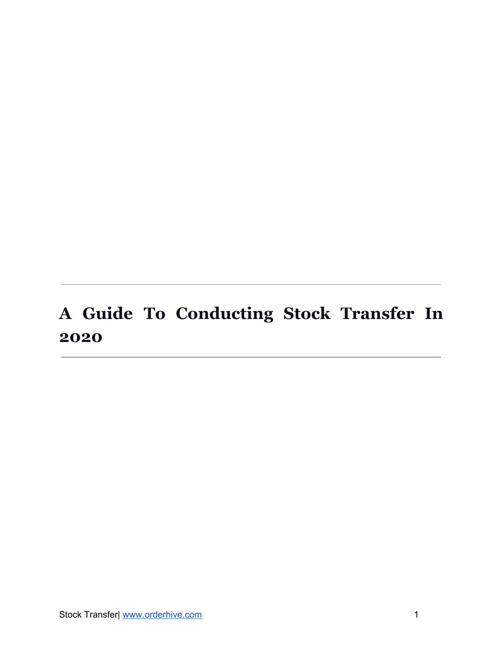## <span id="page-0-0"></span>**A Guide To Conducting Stock Transfer In 2020**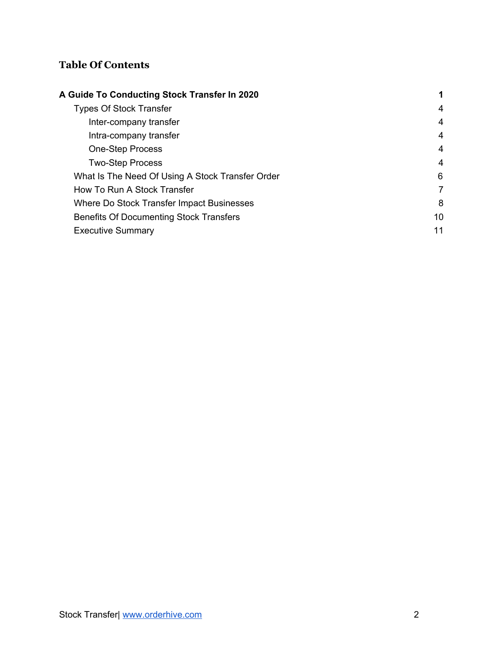#### **Table Of Contents**

| A Guide To Conducting Stock Transfer In 2020     | 1  |
|--------------------------------------------------|----|
| <b>Types Of Stock Transfer</b>                   | 4  |
| Inter-company transfer                           | 4  |
| Intra-company transfer                           | 4  |
| <b>One-Step Process</b>                          | 4  |
| <b>Two-Step Process</b>                          | 4  |
| What Is The Need Of Using A Stock Transfer Order | 6  |
| How To Run A Stock Transfer                      | 7  |
| Where Do Stock Transfer Impact Businesses        | 8  |
| <b>Benefits Of Documenting Stock Transfers</b>   | 10 |
| <b>Executive Summary</b>                         | 11 |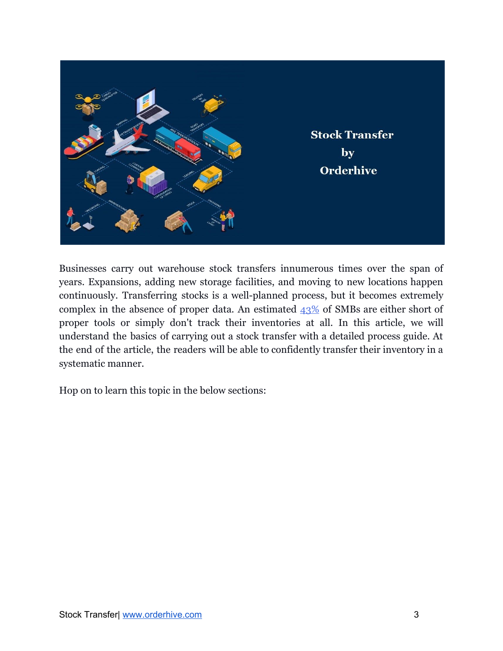

Businesses carry out warehouse stock transfers innumerous times over the span of years. Expansions, adding new storage facilities, and moving to new locations happen continuously. Transferring stocks is a well-planned process, but it becomes extremely complex in the absence of proper data. An estimated  $43\%$  of SMBs are either short of proper tools or simply don't track their inventories at all. In this article, we will understand the basics of carrying out a stock transfer with a detailed process guide. At the end of the article, the readers will be able to confidently transfer their inventory in a systematic manner.

Hop on to learn this topic in the below sections: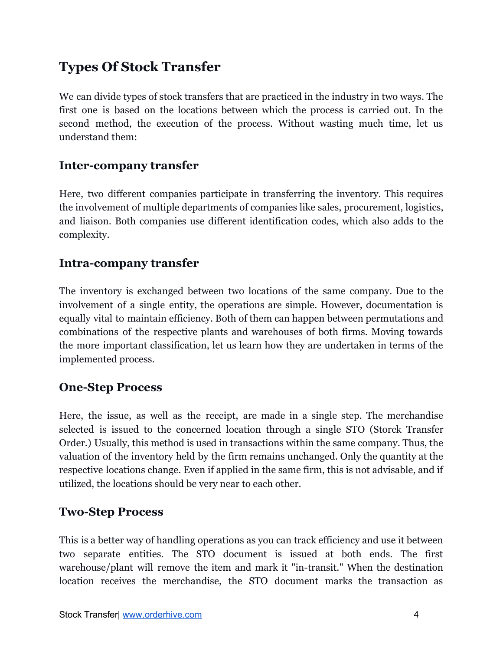## <span id="page-3-0"></span>**Types Of Stock Transfer**

We can divide types of stock transfers that are practiced in the industry in two ways. The first one is based on the locations between which the process is carried out. In the second method, the execution of the process. Without wasting much time, let us understand them:

#### <span id="page-3-1"></span>**Inter-company transfer**

Here, two different companies participate in transferring the inventory. This requires the involvement of multiple departments of companies like sales, procurement, logistics, and liaison. Both companies use different identification codes, which also adds to the complexity.

#### <span id="page-3-2"></span>**Intra-company transfer**

The inventory is exchanged between two locations of the same company. Due to the involvement of a single entity, the operations are simple. However, documentation is equally vital to maintain efficiency. Both of them can happen between permutations and combinations of the respective plants and warehouses of both firms. Moving towards the more important classification, let us learn how they are undertaken in terms of the implemented process.

#### <span id="page-3-3"></span>**One-Step Process**

Here, the issue, as well as the receipt, are made in a single step. The merchandise selected is issued to the concerned location through a single STO (Storck Transfer Order.) Usually, this method is used in transactions within the same company. Thus, the valuation of the inventory held by the firm remains unchanged. Only the quantity at the respective locations change. Even if applied in the same firm, this is not advisable, and if utilized, the locations should be very near to each other.

#### <span id="page-3-4"></span>**Two-Step Process**

This is a better way of handling operations as you can track efficiency and use it between two separate entities. The STO document is issued at both ends. The first warehouse/plant will remove the item and mark it "in-transit." When the destination location receives the merchandise, the STO document marks the transaction as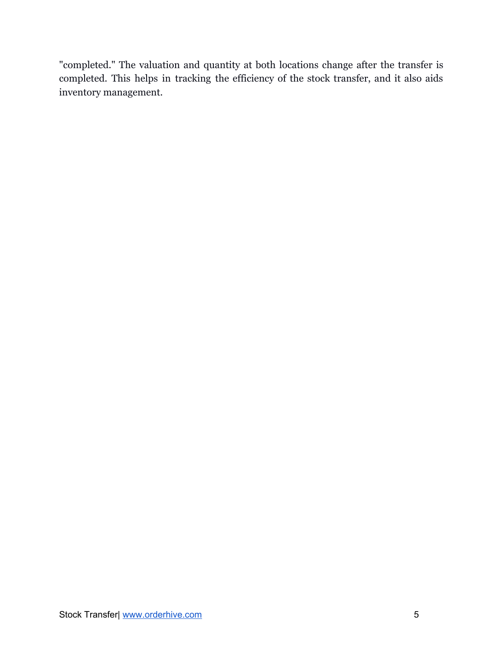"completed." The valuation and quantity at both locations change after the transfer is completed. This helps in tracking the efficiency of the stock transfer, and it also aids inventory management.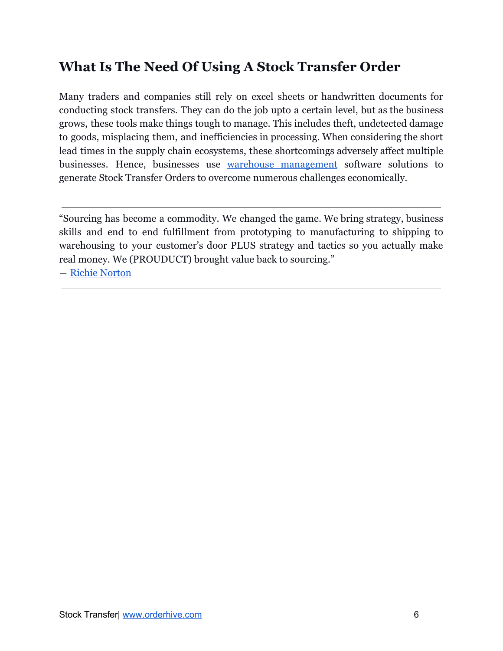## <span id="page-5-0"></span>**What Is The Need Of Using A Stock Transfer Order**

Many traders and companies still rely on excel sheets or handwritten documents for conducting stock transfers. They can do the job upto a certain level, but as the business grows, these tools make things tough to manage. This includes theft, undetected damage to goods, misplacing them, and inefficiencies in processing. When considering the short lead times in the supply chain ecosystems, these shortcomings adversely affect multiple businesses. Hence, businesses use warehouse [management](https://www.orderhive.com/warehouse-management.html?utm_source=Neel&utm_medium=PDF&utm_campaign=Stock%20Transfer) software solutions to generate Stock Transfer Orders to overcome numerous challenges economically.

"Sourcing has become a commodity. We changed the game. We bring strategy, business skills and end to end fulfillment from prototyping to manufacturing to shipping to warehousing to your customer's door PLUS strategy and tactics so you actually make real money. We (PROUDUCT) brought value back to sourcing."

― [Richie Norton](https://richienorton.com/about/)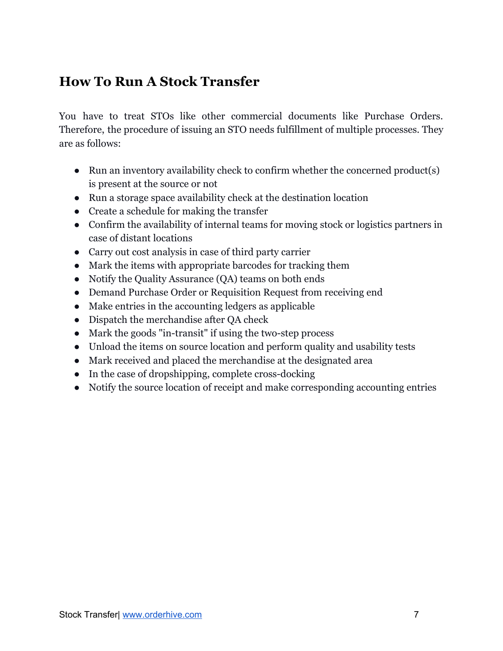## <span id="page-6-0"></span>**How To Run A Stock Transfer**

You have to treat STOs like other commercial documents like Purchase Orders. Therefore, the procedure of issuing an STO needs fulfillment of multiple processes. They are as follows:

- Run an inventory availability check to confirm whether the concerned product(s) is present at the source or not
- Run a storage space availability check at the destination location
- Create a schedule for making the transfer
- Confirm the availability of internal teams for moving stock or logistics partners in case of distant locations
- Carry out cost analysis in case of third party carrier
- Mark the items with appropriate barcodes for tracking them
- Notify the Quality Assurance (QA) teams on both ends
- Demand Purchase Order or Requisition Request from receiving end
- Make entries in the accounting ledgers as applicable
- Dispatch the merchandise after QA check
- Mark the goods "in-transit" if using the two-step process
- Unload the items on source location and perform quality and usability tests
- Mark received and placed the merchandise at the designated area
- In the case of dropshipping, complete cross-docking
- Notify the source location of receipt and make corresponding accounting entries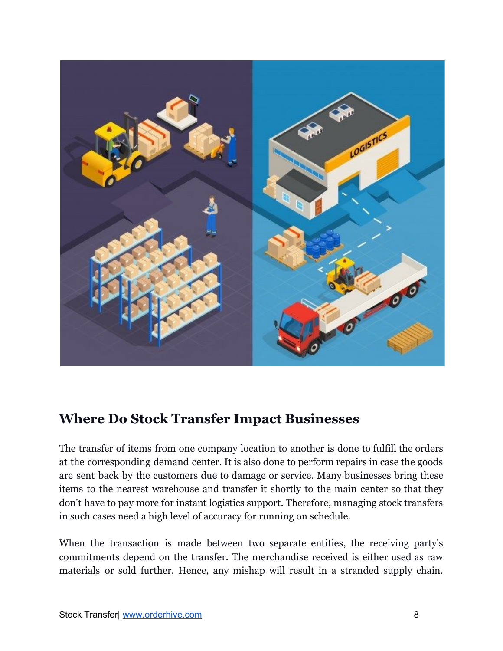

#### <span id="page-7-0"></span>**Where Do Stock Transfer Impact Businesses**

The transfer of items from one company location to another is done to fulfill the orders at the corresponding demand center. It is also done to perform repairs in case the goods are sent back by the customers due to damage or service. Many businesses bring these items to the nearest warehouse and transfer it shortly to the main center so that they don't have to pay more for instant logistics support. Therefore, managing stock transfers in such cases need a high level of accuracy for running on schedule.

When the transaction is made between two separate entities, the receiving party's commitments depend on the transfer. The merchandise received is either used as raw materials or sold further. Hence, any mishap will result in a stranded supply chain.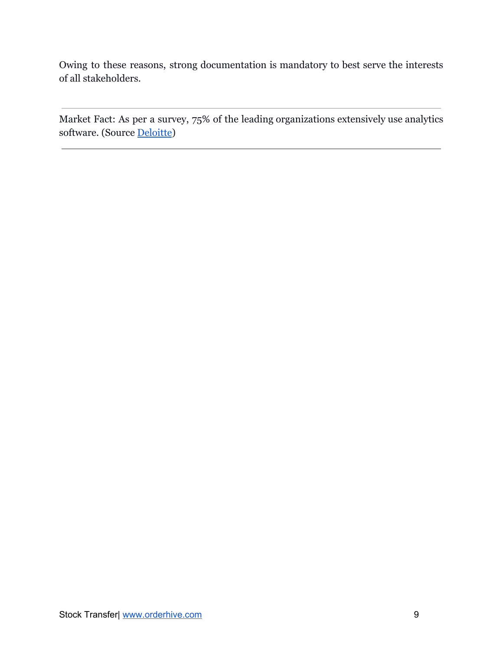Owing to these reasons, strong documentation is mandatory to best serve the interests of all stakeholders.

Market Fact: As per a survey, 75% of the leading organizations extensively use analytics software. (Source [Deloitte](https://www2.deloitte.com/us/en/pages/operations/articles/supply-chain-leadership.html))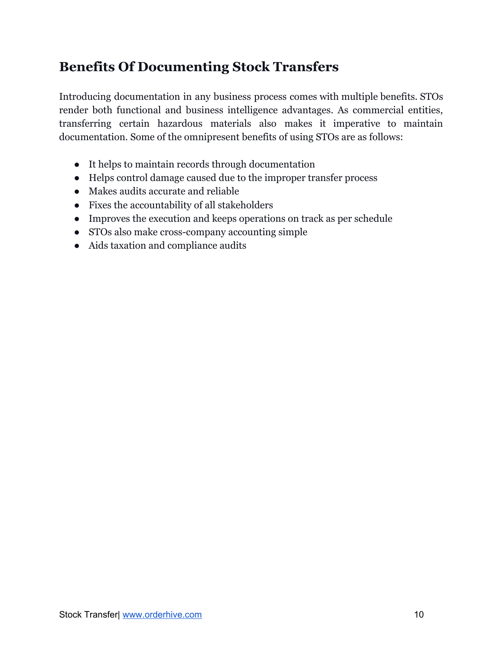## <span id="page-9-0"></span>**Benefits Of Documenting Stock Transfers**

Introducing documentation in any business process comes with multiple benefits. STOs render both functional and business intelligence advantages. As commercial entities, transferring certain hazardous materials also makes it imperative to maintain documentation. Some of the omnipresent benefits of using STOs are as follows:

- It helps to maintain records through documentation
- Helps control damage caused due to the improper transfer process
- Makes audits accurate and reliable
- Fixes the accountability of all stakeholders
- Improves the execution and keeps operations on track as per schedule
- STOs also make cross-company accounting simple
- Aids taxation and compliance audits